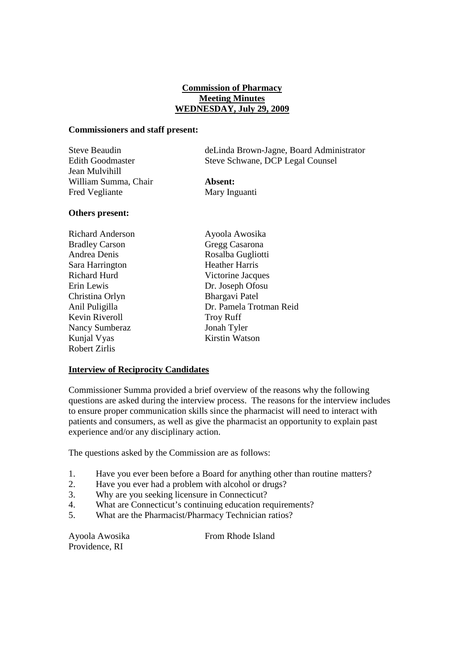# **Commission of Pharmacy Meeting Minutes WEDNESDAY, July 29, 2009**

### **Commissioners and staff present:**

| Steve Beaudin           | de Linda Brown-Jagne, Board Administrator |
|-------------------------|-------------------------------------------|
| <b>Edith Goodmaster</b> | Steve Schwane, DCP Legal Counsel          |
| Jean Mulvihill          |                                           |
| William Summa, Chair    | Absent:                                   |
| Fred Vegliante          | Mary Inguanti                             |

#### **Others present:**

| <b>Richard Anderson</b> | Ayoola Awosika          |
|-------------------------|-------------------------|
| <b>Bradley Carson</b>   | Gregg Casarona          |
| Andrea Denis            | Rosalba Gugliotti       |
| Sara Harrington         | <b>Heather Harris</b>   |
| <b>Richard Hurd</b>     | Victorine Jacques       |
| Erin Lewis              | Dr. Joseph Ofosu        |
| Christina Orlyn         | <b>Bhargavi Patel</b>   |
| Anil Puligilla          | Dr. Pamela Trotman Reid |
| Kevin Riveroll          | <b>Troy Ruff</b>        |
| <b>Nancy Sumberaz</b>   | Jonah Tyler             |
| Kunjal Vyas             | Kirstin Watson          |
| <b>Robert Zirlis</b>    |                         |

# **Interview of Reciprocity Candidates**

Commissioner Summa provided a brief overview of the reasons why the following questions are asked during the interview process. The reasons for the interview includes to ensure proper communication skills since the pharmacist will need to interact with patients and consumers, as well as give the pharmacist an opportunity to explain past experience and/or any disciplinary action.

The questions asked by the Commission are as follows:

- 1. Have you ever been before a Board for anything other than routine matters?
- 2. Have you ever had a problem with alcohol or drugs?
- 3. Why are you seeking licensure in Connecticut?
- 4. What are Connecticut's continuing education requirements?
- 5. What are the Pharmacist/Pharmacy Technician ratios?

Providence, RI

Ayoola Awosika From Rhode Island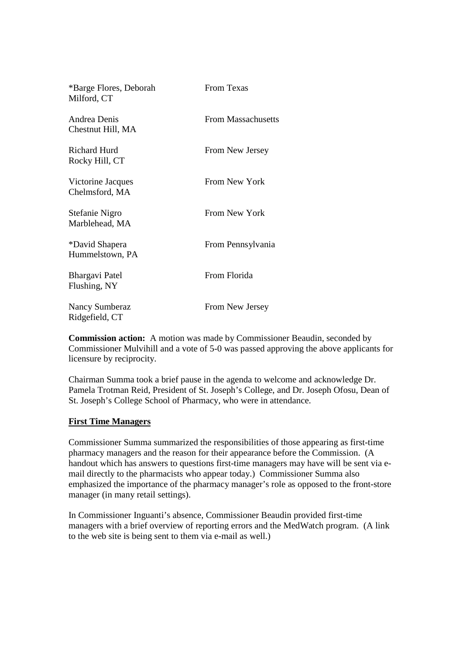| *Barge Flores, Deborah<br>Milford, CT   | From Texas                |
|-----------------------------------------|---------------------------|
| Andrea Denis<br>Chestnut Hill, MA       | <b>From Massachusetts</b> |
| <b>Richard Hurd</b><br>Rocky Hill, CT   | From New Jersey           |
| Victorine Jacques<br>Chelmsford, MA     | From New York             |
| Stefanie Nigro<br>Marblehead, MA        | From New York             |
| *David Shapera<br>Hummelstown, PA       | From Pennsylvania         |
| Bhargavi Patel<br>Flushing, NY          | From Florida              |
| <b>Nancy Sumberaz</b><br>Ridgefield, CT | From New Jersey           |

**Commission action:** A motion was made by Commissioner Beaudin, seconded by Commissioner Mulvihill and a vote of 5-0 was passed approving the above applicants for licensure by reciprocity.

Chairman Summa took a brief pause in the agenda to welcome and acknowledge Dr. Pamela Trotman Reid, President of St. Joseph's College, and Dr. Joseph Ofosu, Dean of St. Joseph's College School of Pharmacy, who were in attendance.

## **First Time Managers**

Commissioner Summa summarized the responsibilities of those appearing as first-time pharmacy managers and the reason for their appearance before the Commission. (A handout which has answers to questions first-time managers may have will be sent via email directly to the pharmacists who appear today.) Commissioner Summa also emphasized the importance of the pharmacy manager's role as opposed to the front-store manager (in many retail settings).

In Commissioner Inguanti's absence, Commissioner Beaudin provided first-time managers with a brief overview of reporting errors and the MedWatch program. (A link to the web site is being sent to them via e-mail as well.)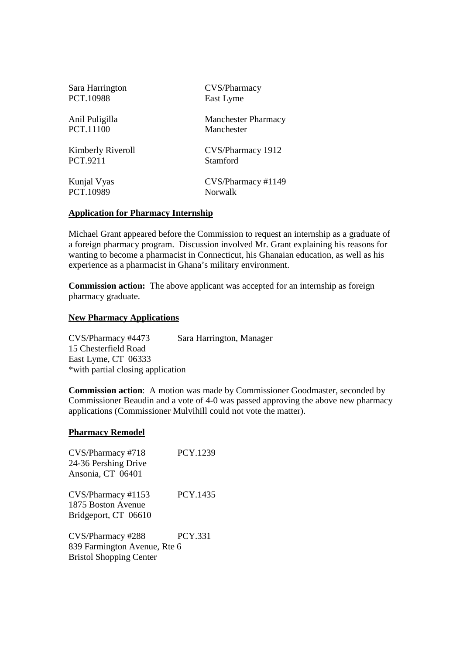| Sara Harrington   | CVS/Pharmacy               |
|-------------------|----------------------------|
| PCT.10988         | East Lyme                  |
| Anil Puligilla    | <b>Manchester Pharmacy</b> |
| PCT.11100         | Manchester                 |
| Kimberly Riveroll | CVS/Pharmacy 1912          |
| <b>PCT.9211</b>   | Stamford                   |
| Kunjal Vyas       | CVS/Pharmacy #1149         |
| PCT.10989         | <b>Norwalk</b>             |

#### **Application for Pharmacy Internship**

Michael Grant appeared before the Commission to request an internship as a graduate of a foreign pharmacy program. Discussion involved Mr. Grant explaining his reasons for wanting to become a pharmacist in Connecticut, his Ghanaian education, as well as his experience as a pharmacist in Ghana's military environment.

**Commission action:** The above applicant was accepted for an internship as foreign pharmacy graduate.

### **New Pharmacy Applications**

CVS/Pharmacy #4473 Sara Harrington, Manager 15 Chesterfield Road East Lyme, CT 06333 \*with partial closing application

**Commission action**: A motion was made by Commissioner Goodmaster, seconded by Commissioner Beaudin and a vote of 4-0 was passed approving the above new pharmacy applications (Commissioner Mulvihill could not vote the matter).

#### **Pharmacy Remodel**

| CVS/Pharmacy #718              | PCY.1239       |
|--------------------------------|----------------|
| 24-36 Pershing Drive           |                |
| Ansonia, CT 06401              |                |
|                                | PCY.1435       |
| CVS/Pharmacy #1153             |                |
| 1875 Boston Avenue             |                |
| Bridgeport, CT 06610           |                |
| CVS/Pharmacy #288              | <b>PCY 331</b> |
| 839 Farmington Avenue, Rte 6   |                |
| <b>Bristol Shopping Center</b> |                |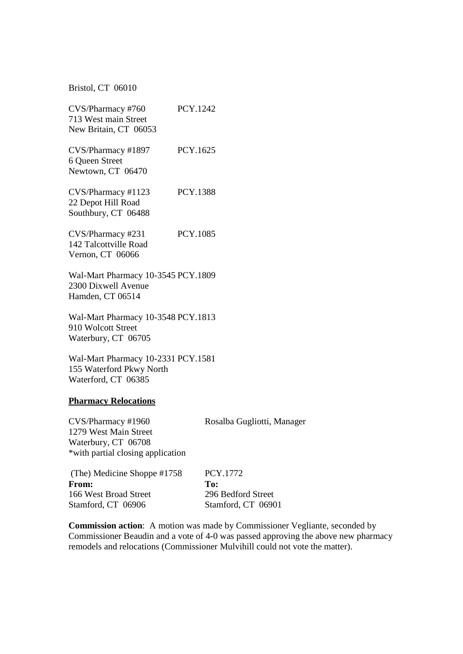Bristol, CT 06010

| CVS/Pharmacy #760<br>713 West main Street<br>New Britain, CT 06053                                      | PCY.1242        |
|---------------------------------------------------------------------------------------------------------|-----------------|
| CVS/Pharmacy #1897<br>6 Queen Street<br>Newtown, CT 06470                                               | PCY.1625        |
| CVS/Pharmacy #1123<br>22 Depot Hill Road<br>Southbury, CT 06488                                         | <b>PCY.1388</b> |
| CVS/Pharmacy #231<br>142 Talcottville Road<br>Vernon, CT 06066                                          | PCY.1085        |
| Wal-Mart Pharmacy 10-3545 PCY.1809<br>2300 Dixwell Avenue<br>Hamden, CT 06514                           |                 |
| Wal-Mart Pharmacy 10-3548 PCY.1813<br>910 Wolcott Street<br>Waterbury, CT 06705                         |                 |
| Wal-Mart Pharmacy 10-2331 PCY.1581<br>155 Waterford Pkwy North<br>Waterford, CT 06385                   |                 |
| <b>Pharmacy Relocations</b>                                                                             |                 |
| CVS/Pharmacy #1960<br>1279 West Main Street<br>Waterbury, CT 06708<br>*with partial closing application | Rosalba G       |
|                                                                                                         |                 |

ugliotti, Manager

| (The) Medicine Shoppe #1758 | PCY.1772           |  |
|-----------------------------|--------------------|--|
| From:                       | To:                |  |
| 166 West Broad Street       | 296 Bedford Street |  |
| Stamford, CT 06906          | Stamford, CT 06901 |  |

**Commission action**: A motion was made by Commissioner Vegliante, seconded by Commissioner Beaudin and a vote of 4-0 was passed approving the above new pharmacy remodels and relocations (Commissioner Mulvihill could not vote the matter).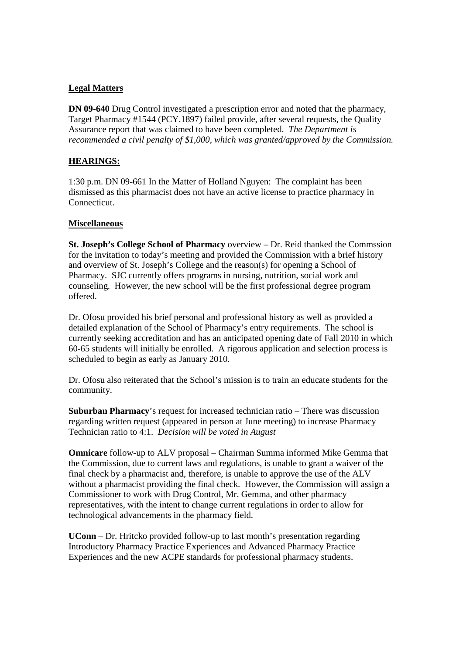# **Legal Matters**

**DN 09-640** Drug Control investigated a prescription error and noted that the pharmacy, Target Pharmacy #1544 (PCY.1897) failed provide, after several requests, the Quality Assurance report that was claimed to have been completed. *The Department is recommended a civil penalty of \$1,000, which was granted/approved by the Commission.*

# **HEARINGS:**

1:30 p.m. DN 09-661 In the Matter of Holland Nguyen: The complaint has been dismissed as this pharmacist does not have an active license to practice pharmacy in Connecticut.

## **Miscellaneous**

**St. Joseph's College School of Pharmacy** overview – Dr. Reid thanked the Commssion for the invitation to today's meeting and provided the Commission with a brief history and overview of St. Joseph's College and the reason(s) for opening a School of Pharmacy. SJC currently offers programs in nursing, nutrition, social work and counseling. However, the new school will be the first professional degree program offered.

Dr. Ofosu provided his brief personal and professional history as well as provided a detailed explanation of the School of Pharmacy's entry requirements. The school is currently seeking accreditation and has an anticipated opening date of Fall 2010 in which 60-65 students will initially be enrolled. A rigorous application and selection process is scheduled to begin as early as January 2010.

Dr. Ofosu also reiterated that the School's mission is to train an educate students for the community.

**Suburban Pharmacy**'s request for increased technician ratio – There was discussion regarding written request (appeared in person at June meeting) to increase Pharmacy Technician ratio to 4:1. *Decision will be voted in August*

**Omnicare** follow-up to ALV proposal – Chairman Summa informed Mike Gemma that the Commission, due to current laws and regulations, is unable to grant a waiver of the final check by a pharmacist and, therefore, is unable to approve the use of the ALV without a pharmacist providing the final check. However, the Commission will assign a Commissioner to work with Drug Control, Mr. Gemma, and other pharmacy representatives, with the intent to change current regulations in order to allow for technological advancements in the pharmacy field.

**UConn** – Dr. Hritcko provided follow-up to last month's presentation regarding Introductory Pharmacy Practice Experiences and Advanced Pharmacy Practice Experiences and the new ACPE standards for professional pharmacy students.